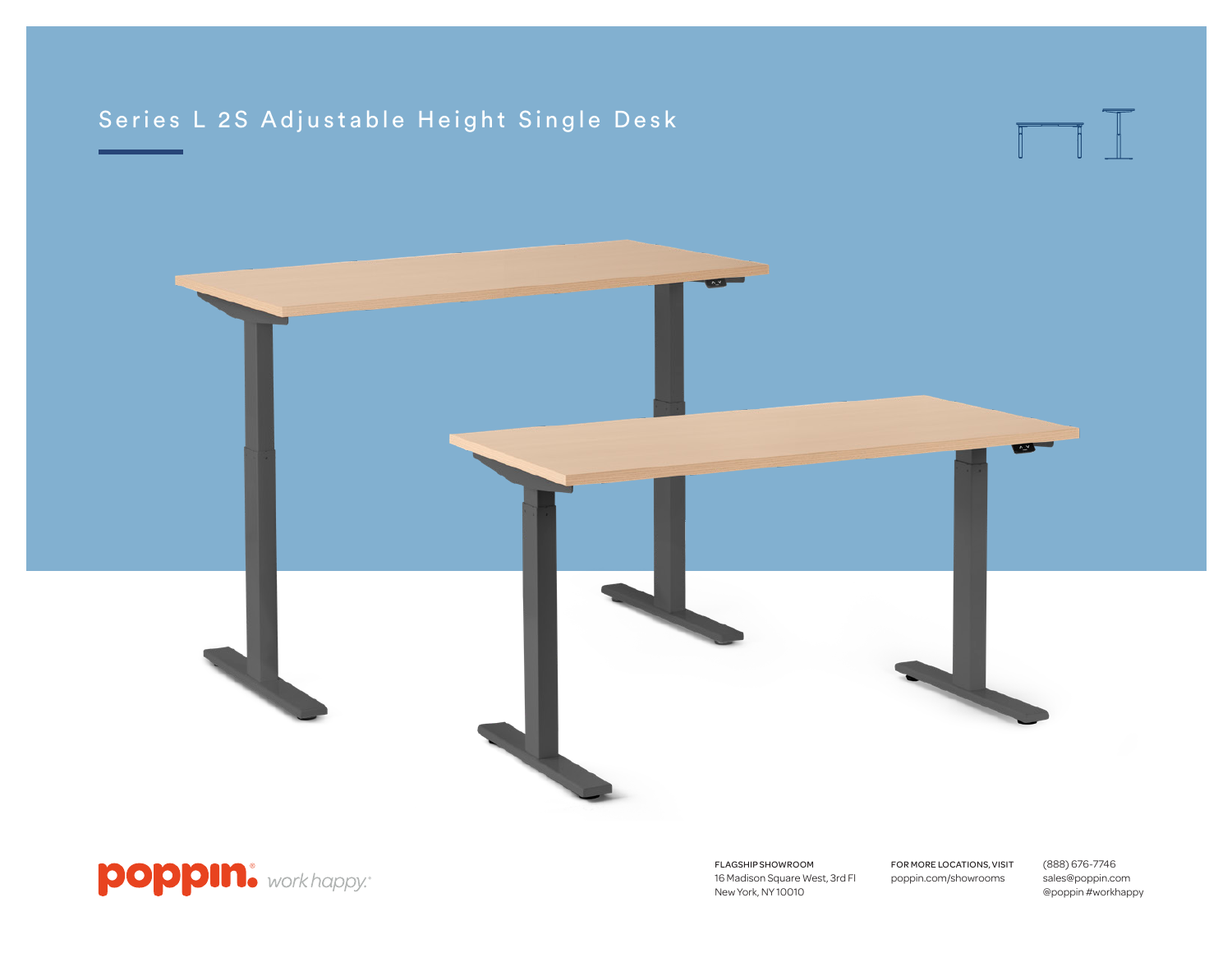# Series L 2S Adjustable Height Single Desk







FLAGSHIP SHOWROOM 16 Madison Square West, 3rd Fl New York, NY 10010

FOR MORE LOCATIONS, VISIT poppin.com/showrooms

(888) 676-7746 sales@poppin.com @poppin #workhappy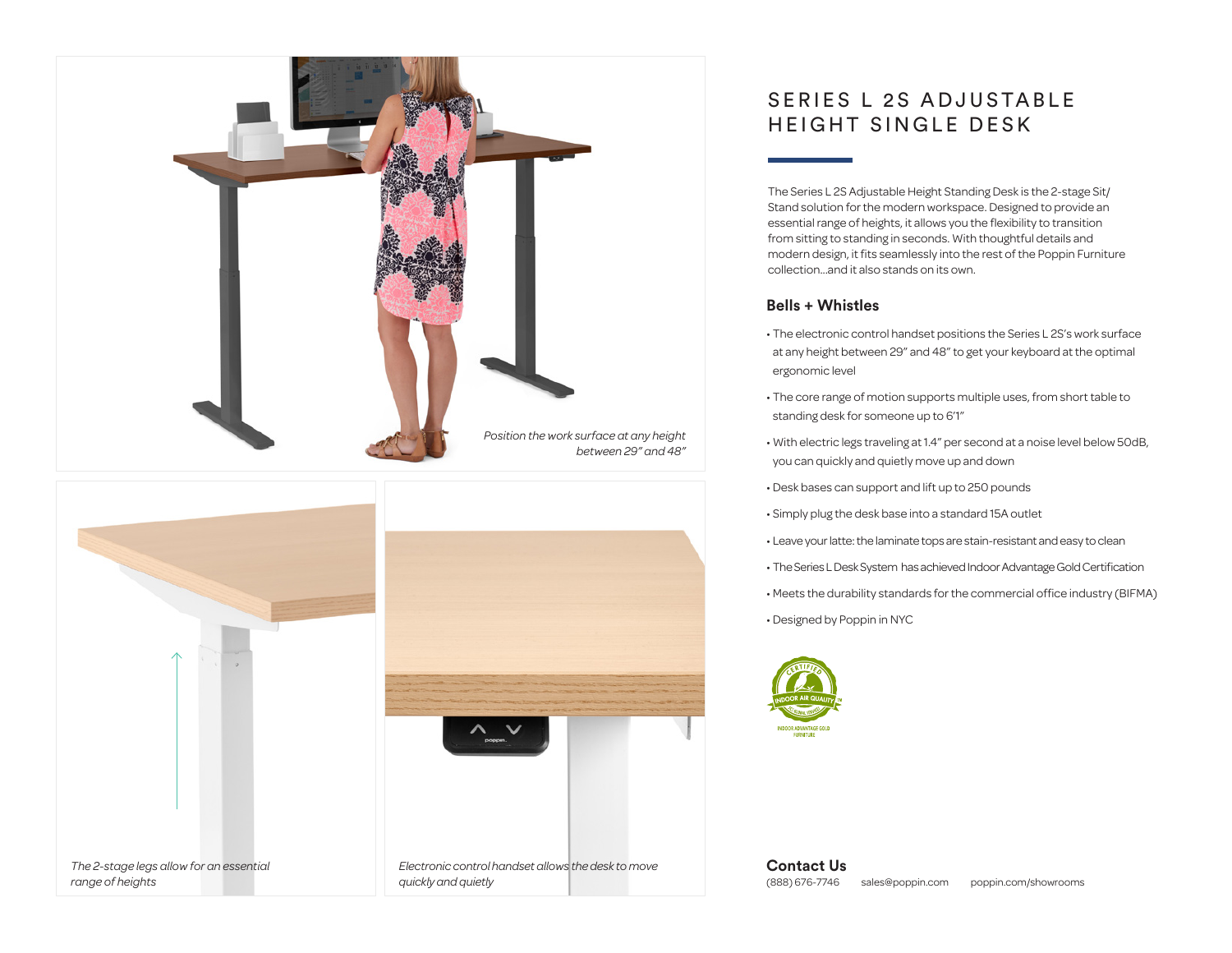



## SERIES L 2S ADJUSTABLE HEIGHT SINGLE DESK

The Series L 2S Adjustable Height Standing Desk is the 2-stage Sit/ Stand solution for the modern workspace. Designed to provide an essential range of heights, it allows you the flexibility to transition from sitting to standing in seconds. With thoughtful details and modern design, it fits seamlessly into the rest of the Poppin Furniture collection...and it also stands on its own.

### **Bells + Whistles**

- The electronic control handset positions the Series L 2S's work surface at any height between 29" and 48" to get your keyboard at the optimal ergonomic level
- The core range of motion supports multiple uses, from short table to standing desk for someone up to 6'1"
- With electric legs traveling at 1.4" per second at a noise level below 50dB, you can quickly and quietly move up and down
- Desk bases can support and lift up to 250 pounds
- Simply plug the desk base into a standard 15A outlet
- Leave your latte: the laminate tops are stain-resistant and easy to clean
- The Series L Desk System has achieved Indoor Advantage Gold Certification
- Meets the durability standards for the commercial office industry (BIFMA)
- Designed by Poppin in NYC



**Contact Us** (888) 676-7746 sales@poppin.com poppin.com/showrooms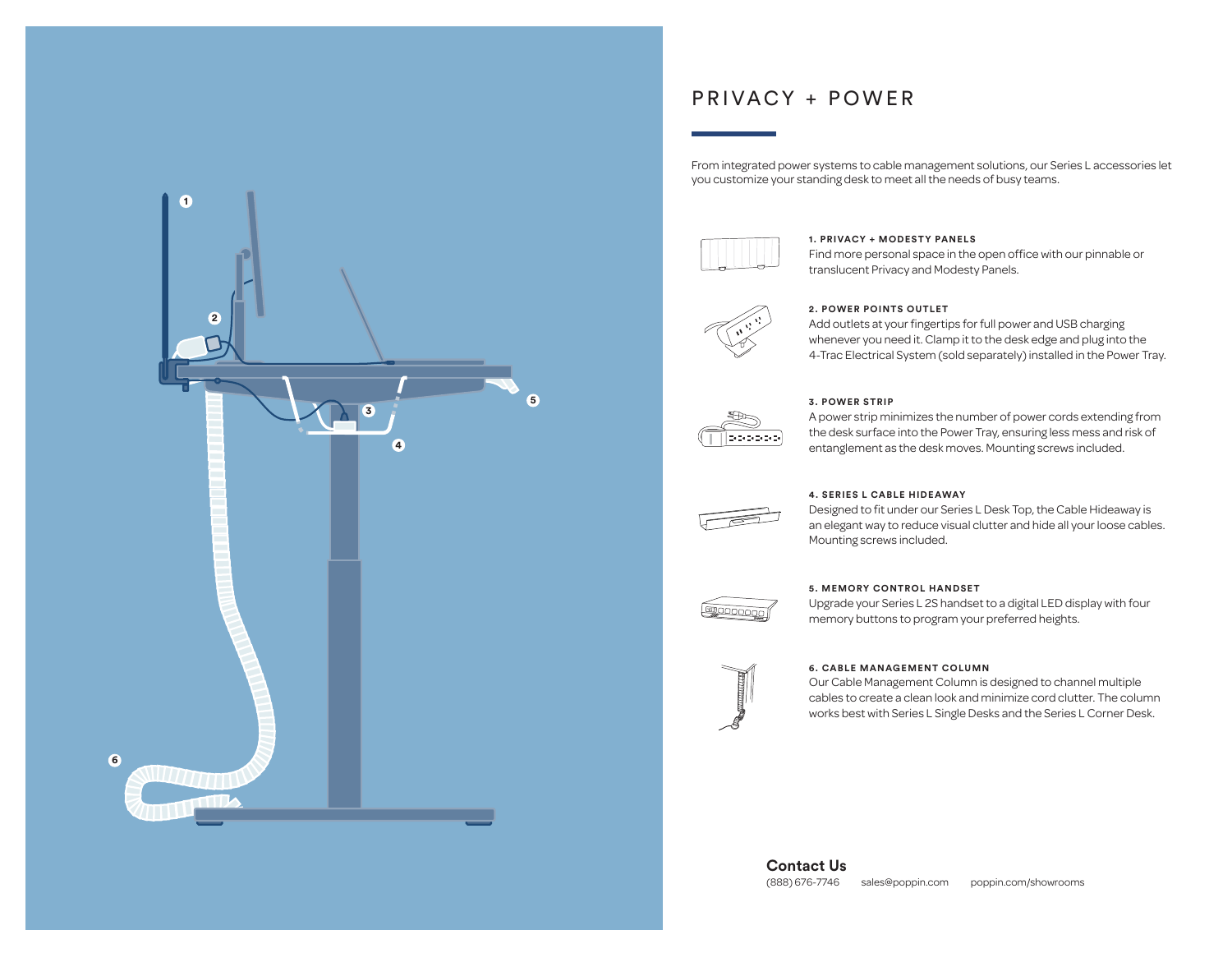

## PRIVACY + POWER

From integrated power systems to cable management solutions, our Series L accessories let you customize your standing desk to meet all the needs of busy teams.



#### **1. PRIVACY + MODESTY PANELS**

Find more personal space in the open office with our pinnable or translucent Privacy and Modesty Panels.



#### **2. POWER POINTS OUTLET**

Add outlets at your fingertips for full power and USB charging whenever you need it. Clamp it to the desk edge and plug into the 4-Trac Electrical System (sold separately) installed in the Power Tray.



#### **3. POWER STRIP**

A power strip minimizes the number of power cords extending from the desk surface into the Power Tray, ensuring less mess and risk of entanglement as the desk moves. Mounting screws included.



#### **4. SERIES L CABLE HIDEAWAY**

Designed to fit under our Series L Desk Top, the Cable Hideaway is an elegant way to reduce visual clutter and hide all your loose cables. Mounting screws included.



#### **5. MEMORY CONTROL HANDSET**

Upgrade your Series L 2S handset to a digital LED display with four memory buttons to program your preferred heights.



#### **6. CABLE MANAGEMENT COLUMN**

Our Cable Management Column is designed to channel multiple cables to create a clean look and minimize cord clutter. The column works best with Series L Single Desks and the Series L Corner Desk.